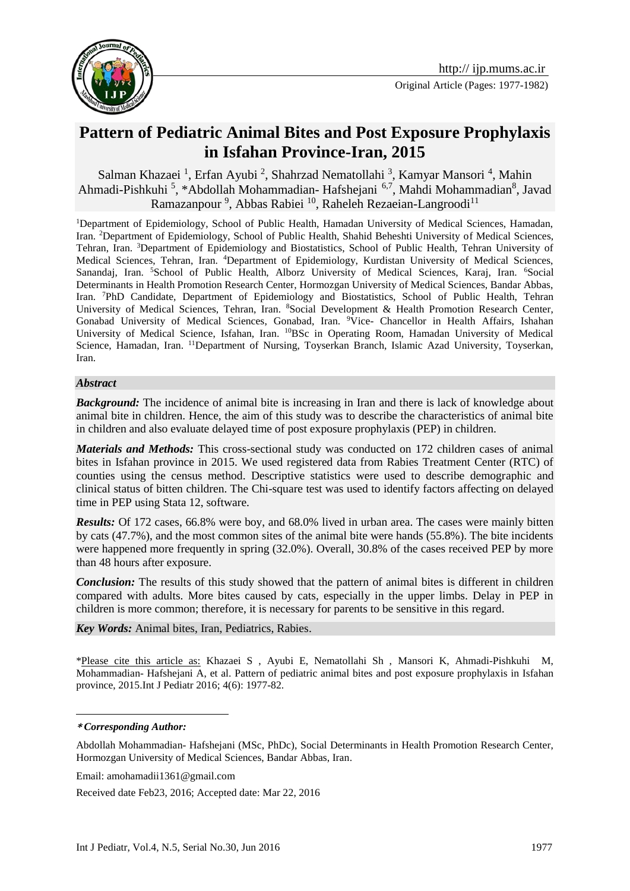

# **Pattern of Pediatric Animal Bites and Post Exposure Prophylaxis in Isfahan Province-Iran, 2015**

Salman Khazaei<sup>1</sup>, Erfan Ayubi<sup>2</sup>, Shahrzad Nematollahi<sup>3</sup>, Kamyar Mansori<sup>4</sup>, Mahin Ahmadi-Pishkuhi<sup>5</sup>, \*Abdollah Mohammadian- Hafshejani<sup>6,7</sup>, Mahdi Mohammadian<sup>8</sup>, Javad Ramazanpour<sup>9</sup>, Abbas Rabiei<sup>10</sup>, Raheleh Rezaeian-Langroodi<sup>11</sup>

<sup>1</sup>Department of Epidemiology, School of Public Health, Hamadan University of Medical Sciences, Hamadan, Iran. <sup>2</sup>Department of Epidemiology, School of Public Health, Shahid Beheshti University of Medical Sciences, Tehran, Iran. <sup>3</sup>Department of Epidemiology and Biostatistics, School of Public Health, Tehran University of Medical Sciences, Tehran, Iran. <sup>4</sup>Department of Epidemiology, Kurdistan University of Medical Sciences, Sanandaj, Iran. <sup>5</sup>School of Public Health, Alborz University of Medical Sciences, Karaj, Iran. <sup>6</sup>Social Determinants in Health Promotion Research Center, Hormozgan University of Medical Sciences, Bandar Abbas, Iran. <sup>7</sup>PhD Candidate, Department of Epidemiology and Biostatistics, School of Public Health, Tehran University of Medical Sciences, Tehran, Iran. <sup>8</sup>Social Development & Health Promotion Research Center, Gonabad University of Medical Sciences, Gonabad, Iran. <sup>9</sup>Vice- Chancellor in Health Affairs, Ishahan University of Medical Science, Isfahan, Iran. <sup>10</sup>BSc in Operating Room, Hamadan University of Medical Science, Hamadan, Iran. <sup>11</sup>Department of Nursing, Toyserkan Branch, Islamic Azad University, Toyserkan, Iran.

### *Abstract*

*Background:* The incidence of animal bite is increasing in Iran and there is lack of knowledge about animal bite in children. Hence, the aim of this study was to describe the characteristics of animal bite in children and also evaluate delayed time of post exposure prophylaxis (PEP) in children.

*Materials and Methods:* This cross-sectional study was conducted on 172 children cases of animal bites in Isfahan province in 2015. We used registered data from Rabies Treatment Center (RTC) of counties using the census method. Descriptive statistics were used to describe demographic and clinical status of bitten children. The Chi-square test was used to identify factors affecting on delayed time in PEP using Stata 12, software.

*Results:* Of 172 cases, 66.8% were boy, and 68.0% lived in urban area. The cases were mainly bitten by cats (47.7%), and the most common sites of the animal bite were hands (55.8%). The bite incidents were happened more frequently in spring (32.0%). Overall, 30.8% of the cases received PEP by more than 48 hours after exposure.

*Conclusion:* The results of this study showed that the pattern of animal bites is different in children compared with adults. More bites caused by cats, especially in the upper limbs. Delay in PEP in children is more common; therefore, it is necessary for parents to be sensitive in this regard.

*Key Words:* Animal bites, Iran, Pediatrics, Rabies.

\*Please cite this article as: Khazaei S , Ayubi E, Nematollahi Sh , Mansori K, Ahmadi-Pishkuhi M, Mohammadian- Hafshejani A, et al. Pattern of pediatric animal bites and post exposure prophylaxis in Isfahan province, 2015.Int J Pediatr 2016; 4(6): 1977-82.

<u>.</u>

Email: amohamadii1361@gmail.com

Received date Feb23, 2016; Accepted date: Mar 22, 2016

**<sup>\*</sup>** *Corresponding Author:*

Abdollah Mohammadian- Hafshejani (MSc, PhDc), Social Determinants in Health Promotion Research Center, Hormozgan University of Medical Sciences, Bandar Abbas, Iran.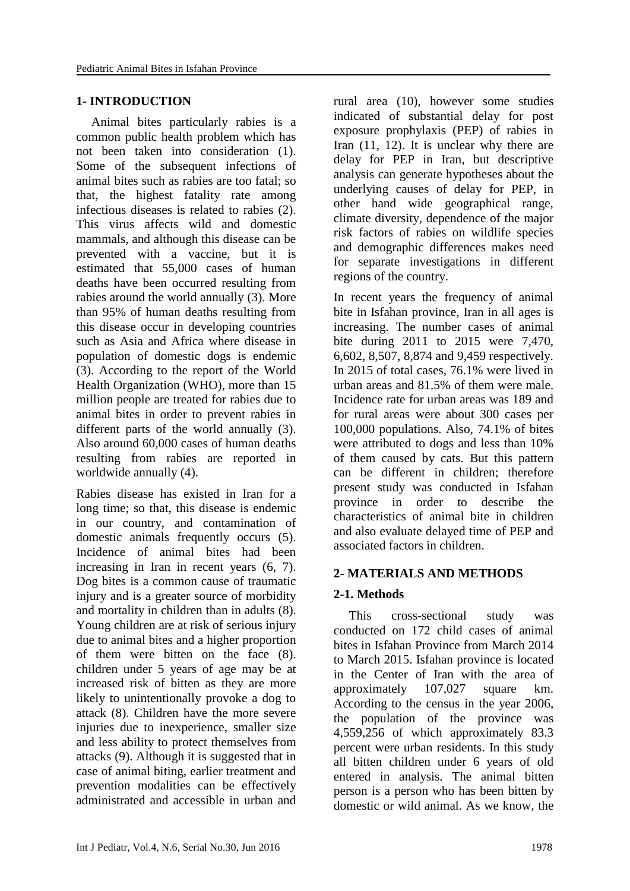### **1- INTRODUCTION**

Animal bites particularly rabies is a common public health problem which has not been taken into consideration [\(1\)](#page-4-0). Some of the subsequent infections of animal bites such as rabies are too fatal; so that, the highest fatality rate among infectious diseases is related to rabies [\(2\)](#page-4-1). This virus affects wild and domestic mammals, and although this disease can be prevented with a vaccine, but it is estimated that 55,000 cases of human deaths have been occurred resulting from rabies around the world annually [\(3\)](#page-4-2). More than 95% of human deaths resulting from this disease occur in developing countries such as Asia and Africa where disease in population of domestic dogs is endemic [\(3\)](#page-4-2). According to the report of the World Health Organization (WHO), more than 15 million people are treated for rabies due to animal bites in order to prevent rabies in different parts of the world annually [\(3\)](#page-4-2). Also around 60,000 cases of human deaths resulting from rabies are reported in worldwide annually [\(4\)](#page-4-3).

Rabies disease has existed in Iran for a long time; so that, this disease is endemic in our country, and contamination of domestic animals frequently occurs [\(5\)](#page-4-4). Incidence of animal bites had been increasing in Iran in recent years [\(6,](#page-5-0) [7\)](#page-5-1). Dog bites is a common cause of traumatic injury and is a greater source of morbidity and mortality in children than in adults [\(8\)](#page-5-2). Young children are at risk of serious injury due to animal bites and a higher proportion of them were bitten on the face [\(8\)](#page-5-2). children under 5 years of age may be at increased risk of bitten as they are more likely to unintentionally provoke a dog to attack [\(8\)](#page-5-2). Children have the more severe injuries due to inexperience, smaller size and less ability to protect themselves from attacks [\(9\)](#page-5-3). Although it is suggested that in case of animal biting, earlier treatment and prevention modalities can be effectively administrated and accessible in urban and

rural area [\(10\)](#page-5-4), however some studies indicated of substantial delay for post exposure prophylaxis (PEP) of rabies in Iran [\(11,](#page-5-5) [12\)](#page-5-6). It is unclear why there are delay for PEP in Iran, but descriptive analysis can generate hypotheses about the underlying causes of delay for PEP, in other hand wide geographical range, climate diversity, dependence of the major risk factors of rabies on wildlife species and demographic differences makes need for separate investigations in different regions of the country.

In recent years the frequency of animal bite in Isfahan province, Iran in all ages is increasing. The number cases of animal bite during 2011 to 2015 were 7,470, 6,602, 8,507, 8,874 and 9,459 respectively. In 2015 of total cases, 76.1% were lived in urban areas and 81.5% of them were male. Incidence rate for urban areas was 189 and for rural areas were about 300 cases per 100,000 populations. Also, 74.1% of bites were attributed to dogs and less than 10% of them caused by cats. But this pattern can be different in children; therefore present study was conducted in Isfahan province in order to describe the characteristics of animal bite in children and also evaluate delayed time of PEP and associated factors in children.

### **2- MATERIALS AND METHODS**

### **2-1. Methods**

This cross-sectional study was conducted on 172 child cases of animal bites in Isfahan Province from March 2014 to March 2015. Isfahan province is located in the Center of Iran with the area of approximately 107,027 square km. According to the census in the year 2006, the population of the province was 4,559,256 of which approximately 83.3 percent were urban residents. In this study all bitten children under 6 years of old entered in analysis. The animal bitten person is a person who has been bitten by domestic or wild animal. As we know, the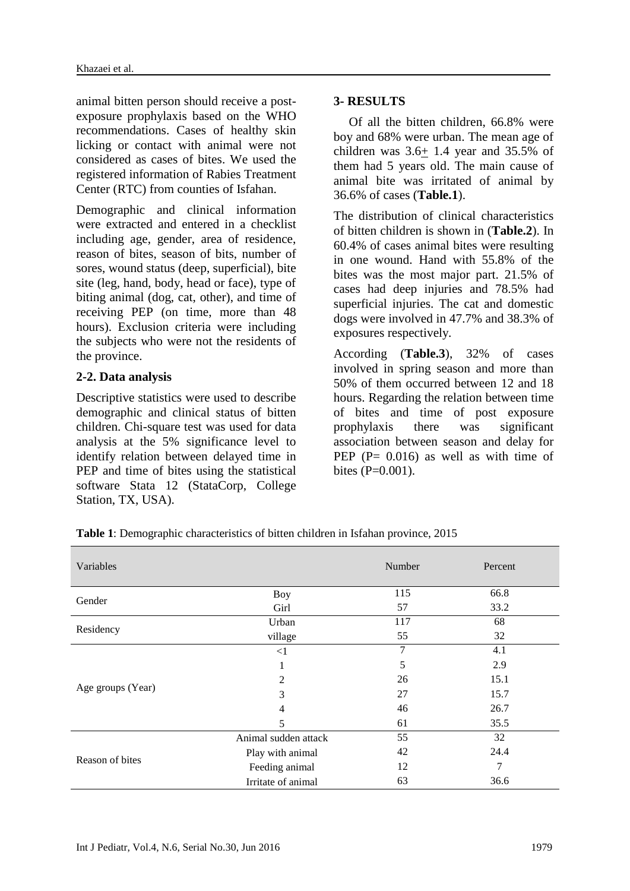animal bitten person should receive a postexposure prophylaxis based on the WHO recommendations. Cases of healthy skin licking or contact with animal were not considered as cases of bites. We used the registered information of Rabies Treatment Center (RTC) from counties of Isfahan.

Demographic and clinical information were extracted and entered in a checklist including age, gender, area of residence, reason of bites, season of bits, number of sores, wound status (deep, superficial), bite site (leg, hand, body, head or face), type of biting animal (dog, cat, other), and time of receiving PEP (on time, more than 48 hours). Exclusion criteria were including the subjects who were not the residents of the province.

### **2-2. Data analysis**

Descriptive statistics were used to describe demographic and clinical status of bitten children. Chi-square test was used for data analysis at the 5% significance level to identify relation between delayed time in PEP and time of bites using the statistical software Stata 12 (StataCorp, College Station, TX, USA).

### **3- RESULTS**

Of all the bitten children, 66.8% were boy and 68% were urban. The mean age of children was  $3.6 \pm 1.4$  year and 35.5% of them had 5 years old. The main cause of animal bite was irritated of animal by 36.6% of cases (**Table.1**).

The distribution of clinical characteristics of bitten children is shown in (**Table.2**). In 60.4% of cases animal bites were resulting in one wound. Hand with 55.8% of the bites was the most major part. 21.5% of cases had deep injuries and 78.5% had superficial injuries. The cat and domestic dogs were involved in 47.7% and 38.3% of exposures respectively.

According (**Table.3**), 32% of cases involved in spring season and more than 50% of them occurred between 12 and 18 hours. Regarding the relation between time of bites and time of post exposure prophylaxis there was significant association between season and delay for PEP  $(P= 0.016)$  as well as with time of bites  $(P=0.001)$ .

**Table 1**: Demographic characteristics of bitten children in Isfahan province, 2015

| Variables         |                      | Number | Percent |
|-------------------|----------------------|--------|---------|
| Gender            | <b>Boy</b>           | 115    | 66.8    |
|                   | Girl                 | 57     | 33.2    |
|                   | Urban                | 117    | 68      |
| Residency         | village              | 55     | 32      |
|                   | $\leq$ 1             | 7      | 4.1     |
|                   |                      | 5      | 2.9     |
|                   | 2                    | 26     | 15.1    |
| Age groups (Year) | 3                    | 27     | 15.7    |
|                   | $\overline{4}$       | 46     | 26.7    |
|                   | 5                    | 61     | 35.5    |
|                   | Animal sudden attack | 55     | 32      |
|                   | Play with animal     | 42     | 24.4    |
| Reason of bites   | Feeding animal       | 12     | 7       |
|                   | Irritate of animal   | 63     | 36.6    |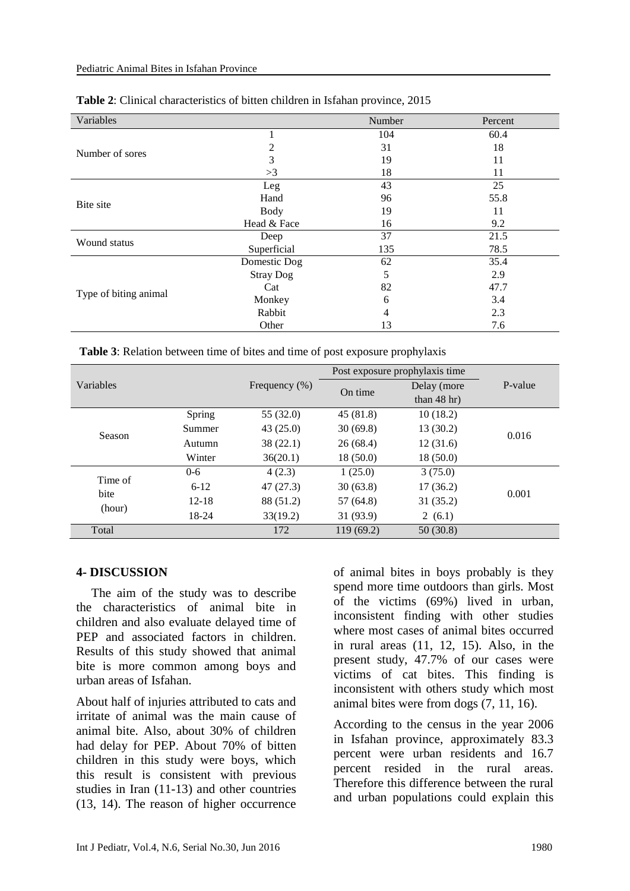| Variables             |                  | Number | Percent |
|-----------------------|------------------|--------|---------|
|                       |                  | 104    | 60.4    |
| Number of sores       | 2                | 31     | 18      |
|                       | 3                | 19     | 11      |
|                       | >3               | 18     | 11      |
|                       | Leg              | 43     | 25      |
| Bite site             | Hand             | 96     | 55.8    |
|                       | <b>Body</b>      | 19     | 11      |
|                       | Head & Face      | 16     | 9.2     |
| Wound status          | Deep             | 37     | 21.5    |
|                       | Superficial      | 135    | 78.5    |
|                       | Domestic Dog     | 62     | 35.4    |
|                       | <b>Stray Dog</b> | 5      | 2.9     |
|                       | Cat              | 82     | 47.7    |
| Type of biting animal | Monkey           | 6      | 3.4     |
|                       | Rabbit           | 4      | 2.3     |
|                       | Other            | 13     | 7.6     |

#### **Table 2**: Clinical characteristics of bitten children in Isfahan province, 2015

**Table 3**: Relation between time of bites and time of post exposure prophylaxis

|                           |           |                   | Post exposure prophylaxis time |               |         |
|---------------------------|-----------|-------------------|--------------------------------|---------------|---------|
| Variables                 |           | Frequency $(\% )$ | On time                        | Delay (more   | P-value |
|                           |           |                   |                                | than $48$ hr) |         |
| Season                    | Spring    | 55 (32.0)         | 45(81.8)                       | 10(18.2)      |         |
|                           | Summer    | 43(25.0)          | 30(69.8)                       | 13(30.2)      | 0.016   |
|                           | Autumn    | 38(22.1)          | 26(68.4)                       | 12(31.6)      |         |
|                           | Winter    | 36(20.1)          | 18(50.0)                       | 18(50.0)      |         |
| Time of<br>bite<br>(hour) | $0 - 6$   | 4(2.3)            | 1(25.0)                        | 3(75.0)       |         |
|                           | $6 - 12$  | 47(27.3)          | 30(63.8)                       | 17(36.2)      | 0.001   |
|                           | $12 - 18$ | 88 (51.2)         | 57(64.8)                       | 31(35.2)      |         |
|                           | 18-24     | 33(19.2)          | 31(93.9)                       | 2(6.1)        |         |
| Total                     |           | 172               | 119(69.2)                      | 50(30.8)      |         |

### **4- DISCUSSION**

The aim of the study was to describe the characteristics of animal bite in children and also evaluate delayed time of PEP and associated factors in children. Results of this study showed that animal bite is more common among boys and urban areas of Isfahan.

About half of injuries attributed to cats and irritate of animal was the main cause of animal bite. Also, about 30% of children had delay for PEP. About 70% of bitten children in this study were boys, which this result is consistent with previous studies in Iran [\(11-13\)](#page-5-5) and other countries [\(13,](#page-5-7) [14\)](#page-5-8). The reason of higher occurrence of animal bites in boys probably is they spend more time outdoors than girls. Most of the victims (69%) lived in urban, inconsistent finding with other studies where most cases of animal bites occurred in rural areas [\(11,](#page-5-5) [12,](#page-5-6) [15\)](#page-5-9). Also, in the present study, 47.7% of our cases were victims of cat bites. This finding is inconsistent with others study which most animal bites were from dogs [\(7,](#page-5-1) [11,](#page-5-5) [16\)](#page-5-10).

According to the census in the year 2006 in Isfahan province, approximately 83.3 percent were urban residents and 16.7 percent resided in the rural areas. Therefore this difference between the rural and urban populations could explain this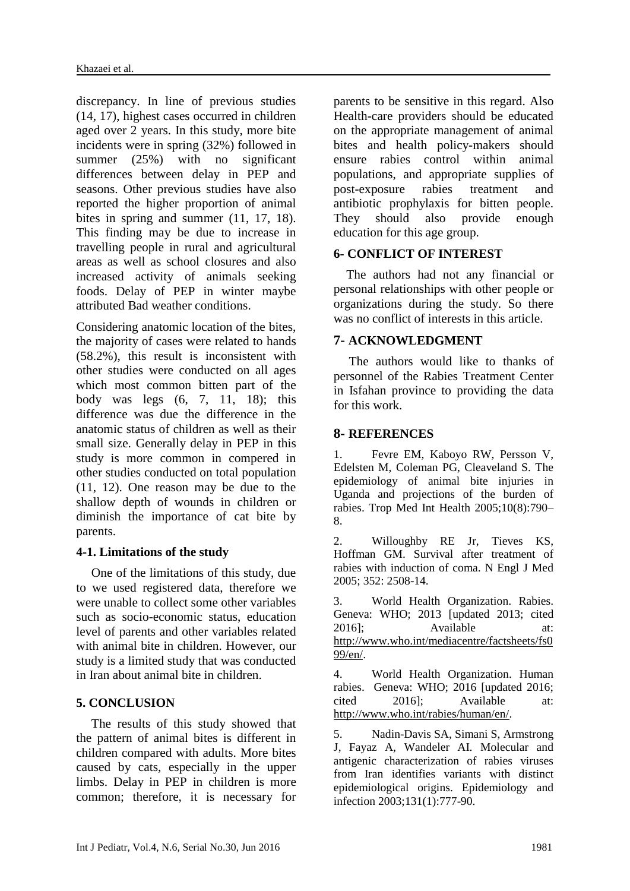discrepancy. In line of previous studies [\(14,](#page-5-8) [17\)](#page-5-11), highest cases occurred in children aged over 2 years. In this study, more bite incidents were in spring (32%) followed in summer (25%) with no significant differences between delay in PEP and seasons. Other previous studies have also reported the higher proportion of animal bites in spring and summer [\(11,](#page-5-5) [17,](#page-5-11) [18\)](#page-5-12). This finding may be due to increase in travelling people in rural and agricultural areas as well as school closures and also increased activity of animals seeking foods. Delay of PEP in winter maybe attributed Bad weather conditions.

Considering anatomic location of the bites, the majority of cases were related to hands (58.2%), this result is inconsistent with other studies were conducted on all ages which most common bitten part of the body was legs [\(6,](#page-5-0) [7,](#page-5-1) [11,](#page-5-5) [18\)](#page-5-12); this difference was due the difference in the anatomic status of children as well as their small size. Generally delay in PEP in this study is more common in compered in other studies conducted on total population [\(11,](#page-5-5) [12\)](#page-5-6). One reason may be due to the shallow depth of wounds in children or diminish the importance of cat bite by parents.

# **4-1. Limitations of the study**

One of the limitations of this study, due to we used registered data, therefore we were unable to collect some other variables such as socio-economic status, education level of parents and other variables related with animal bite in children. However, our study is a limited study that was conducted in Iran about animal bite in children.

### **5. CONCLUSION**

The results of this study showed that the pattern of animal bites is different in children compared with adults. More bites caused by cats, especially in the upper limbs. Delay in PEP in children is more common; therefore, it is necessary for

parents to be sensitive in this regard. Also Health-care providers should be educated on the appropriate management of animal bites and health policy-makers should ensure rabies control within animal populations, and appropriate supplies of post-exposure rabies treatment and antibiotic prophylaxis for bitten people. They should also provide enough education for this age group.

# **6- CONFLICT OF INTEREST**

 The authors had not any financial or personal relationships with other people or organizations during the study. So there was no conflict of interests in this article.

### **7- ACKNOWLEDGMENT**

The authors would like to thanks of personnel of the Rabies Treatment Center in Isfahan province to providing the data for this work.

# **8- REFERENCES**

<span id="page-4-0"></span>1. Fevre EM, Kaboyo RW, Persson V, Edelsten M, Coleman PG, Cleaveland S. The epidemiology of animal bite injuries in Uganda and projections of the burden of rabies. Trop Med Int Health 2005;10(8):790– 8.

<span id="page-4-1"></span>2. Willoughby RE Jr, Tieves KS, Hoffman GM. Survival after treatment of rabies with induction of coma. N Engl J Med 2005; 352: 2508-14.

<span id="page-4-2"></span>3. World Health Organization. Rabies. Geneva: WHO; 2013 [updated 2013; cited 2016]; Available at: [http://www.who.int/mediacentre/factsheets/fs0](http://www.who.int/mediacentre/factsheets/fs099/en/) [99/en/.](http://www.who.int/mediacentre/factsheets/fs099/en/)

<span id="page-4-3"></span>4. World Health Organization. Human rabies. Geneva: WHO; 2016 [updated 2016; cited 2016]; Available at: [http://www.who.int/rabies/human/en/.](http://www.who.int/rabies/human/en/)

<span id="page-4-4"></span>5. Nadin-Davis SA, Simani S, Armstrong J, Fayaz A, Wandeler AI. Molecular and antigenic characterization of rabies viruses from Iran identifies variants with distinct epidemiological origins. Epidemiology and infection 2003;131(1):777-90.